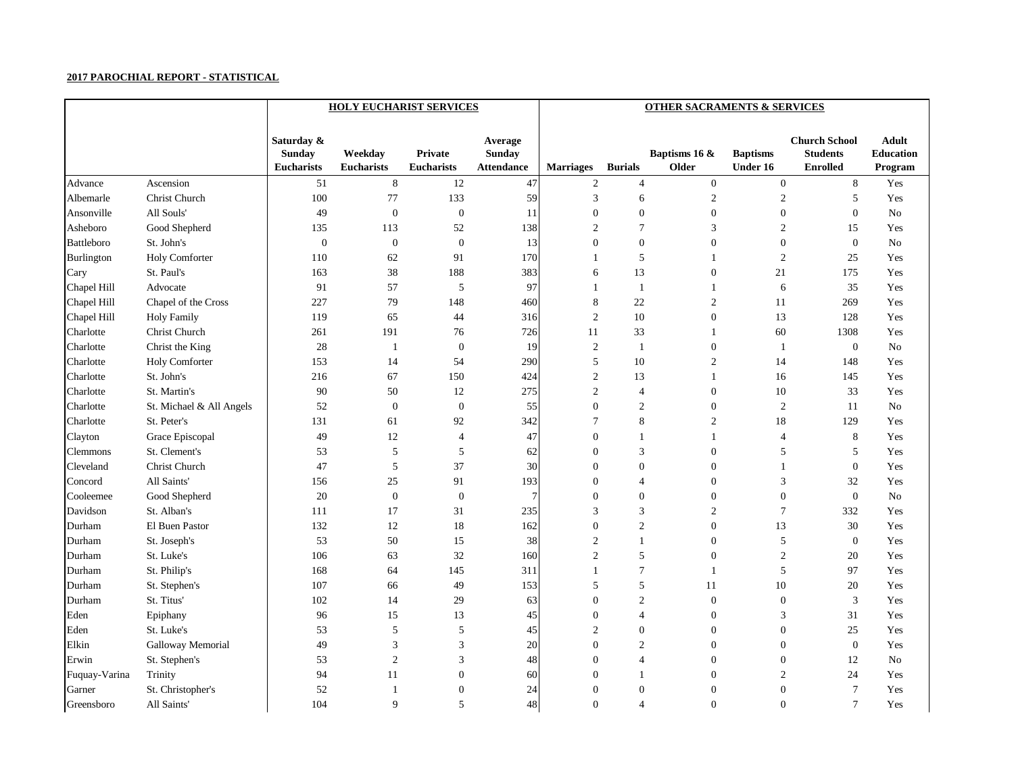|                   |                          |                                                  | <b>HOLY EUCHARIST SERVICES</b> |                                     | <b>OTHER SACRAMENTS &amp; SERVICES</b>        |                  |                  |                        |                                    |                                                            |                                             |  |
|-------------------|--------------------------|--------------------------------------------------|--------------------------------|-------------------------------------|-----------------------------------------------|------------------|------------------|------------------------|------------------------------------|------------------------------------------------------------|---------------------------------------------|--|
|                   |                          | Saturday &<br><b>Sunday</b><br><b>Eucharists</b> | Weekday<br><b>Eucharists</b>   | <b>Private</b><br><b>Eucharists</b> | Average<br><b>Sunday</b><br><b>Attendance</b> | <b>Marriages</b> | <b>Burials</b>   | Baptisms 16 &<br>Older | <b>Baptisms</b><br><b>Under 16</b> | <b>Church School</b><br><b>Students</b><br><b>Enrolled</b> | <b>Adult</b><br><b>Education</b><br>Program |  |
| Advance           | Ascension                | 51                                               | 8                              | 12                                  | 47                                            | $\overline{2}$   | $\overline{4}$   | $\overline{0}$         | $\overline{0}$                     | 8                                                          | Yes                                         |  |
| Albemarle         | Christ Church            | 100                                              | 77                             | 133                                 | 59                                            | 3                | 6                | $\sqrt{2}$             | $\boldsymbol{2}$                   | 5                                                          | Yes                                         |  |
| Ansonville        | All Souls'               | 49                                               | $\boldsymbol{0}$               | $\boldsymbol{0}$                    | 11                                            | $\boldsymbol{0}$ | $\boldsymbol{0}$ | $\boldsymbol{0}$       | $\boldsymbol{0}$                   | $\mathbf{0}$                                               | No                                          |  |
| Asheboro          | Good Shepherd            | 135                                              | 113                            | 52                                  | 138                                           | $\overline{2}$   | $\overline{7}$   | 3                      | $\boldsymbol{2}$                   | 15                                                         | Yes                                         |  |
| <b>Battleboro</b> | St. John's               | $\boldsymbol{0}$                                 | $\boldsymbol{0}$               | $\boldsymbol{0}$                    | 13                                            | $\Omega$         | $\boldsymbol{0}$ | $\mathbf{0}$           | $\boldsymbol{0}$                   | $\boldsymbol{0}$                                           | No                                          |  |
| Burlington        | <b>Holy Comforter</b>    | 110                                              | 62                             | 91                                  | 170                                           |                  | 5                |                        | $\overline{c}$                     | 25                                                         | Yes                                         |  |
| Cary              | St. Paul's               | 163                                              | 38                             | 188                                 | 383                                           | 6                | 13               | $\boldsymbol{0}$       | 21                                 | 175                                                        | Yes                                         |  |
| Chapel Hill       | Advocate                 | 91                                               | 57                             | 5                                   | 97                                            |                  |                  |                        | 6                                  | 35                                                         | Yes                                         |  |
| Chapel Hill       | Chapel of the Cross      | 227                                              | 79                             | 148                                 | 460                                           | 8                | 22               | $\overline{c}$         | 11                                 | 269                                                        | Yes                                         |  |
| Chapel Hill       | <b>Holy Family</b>       | 119                                              | 65                             | 44                                  | 316                                           | $\overline{2}$   | 10               | $\boldsymbol{0}$       | 13                                 | 128                                                        | Yes                                         |  |
| Charlotte         | Christ Church            | 261                                              | 191                            | 76                                  | 726                                           | 11               | 33               |                        | 60                                 | 1308                                                       | Yes                                         |  |
| Charlotte         | Christ the King          | 28                                               | -1                             | $\boldsymbol{0}$                    | 19                                            | $\sqrt{2}$       |                  | $\boldsymbol{0}$       |                                    | $\boldsymbol{0}$                                           | No                                          |  |
| Charlotte         | <b>Holy Comforter</b>    | 153                                              | 14                             | 54                                  | 290                                           | 5                | 10               | 2                      | 14                                 | 148                                                        | Yes                                         |  |
| Charlotte         | St. John's               | 216                                              | 67                             | 150                                 | 424                                           | $\overline{2}$   | 13               |                        | 16                                 | 145                                                        | Yes                                         |  |
| Charlotte         | St. Martin's             | 90                                               | 50                             | 12                                  | 275                                           | $\overline{2}$   | 4                | $\boldsymbol{0}$       | 10                                 | 33                                                         | Yes                                         |  |
| Charlotte         | St. Michael & All Angels | 52                                               | $\boldsymbol{0}$               | $\boldsymbol{0}$                    | 55                                            | $\Omega$         | $\mathfrak{2}$   | $\boldsymbol{0}$       | $\sqrt{2}$                         | 11                                                         | No                                          |  |
| Charlotte         | St. Peter's              | 131                                              | 61                             | 92                                  | 342                                           |                  | $\,8\,$          | $\overline{c}$         | 18                                 | 129                                                        | Yes                                         |  |
| Clayton           | Grace Episcopal          | 49                                               | 12                             | 4                                   | 47                                            | $\theta$         |                  |                        | 4                                  | 8                                                          | Yes                                         |  |
| <b>Clemmons</b>   | St. Clement's            | 53                                               | 5                              | 5                                   | 62                                            | $\Omega$         | 3                | $\overline{0}$         | 5                                  | 5                                                          | Yes                                         |  |
| Cleveland         | Christ Church            | $47\,$                                           | 5                              | 37                                  | 30                                            | $\Omega$         | $\boldsymbol{0}$ | $\boldsymbol{0}$       |                                    | $\boldsymbol{0}$                                           | Yes                                         |  |
| Concord           | All Saints'              | 156                                              | 25                             | 91                                  | 193                                           | $\theta$         | 4                | $\overline{0}$         | 3                                  | 32                                                         | Yes                                         |  |
| Cooleemee         | Good Shepherd            | 20                                               | $\boldsymbol{0}$               | $\boldsymbol{0}$                    | 7                                             | $\Omega$         | $\boldsymbol{0}$ | $\overline{0}$         | $\boldsymbol{0}$                   | $\boldsymbol{0}$                                           | No                                          |  |
| Davidson          | St. Alban's              | 111                                              | 17                             | 31                                  | 235                                           | 3                | $\mathfrak{Z}$   | $\sqrt{2}$             | $\tau$                             | 332                                                        | Yes                                         |  |
| Durham            | El Buen Pastor           | 132                                              | 12                             | 18                                  | 162                                           | $\overline{0}$   | $\overline{c}$   | $\overline{0}$         | 13                                 | 30                                                         | Yes                                         |  |
| Durham            | St. Joseph's             | 53                                               | 50                             | 15                                  | 38                                            | $\overline{2}$   |                  | $\overline{0}$         | 5                                  | $\mathbf{0}$                                               | Yes                                         |  |
| Durham            | St. Luke's               | 106                                              | 63                             | 32                                  | 160                                           | $\overline{2}$   | 5                | $\mathbf{0}$           | 2                                  | 20                                                         | Yes                                         |  |
| Durham            | St. Philip's             | 168                                              | 64                             | 145                                 | 311                                           |                  |                  |                        | 5                                  | 97                                                         | Yes                                         |  |
| Durham            | St. Stephen's            | 107                                              | 66                             | 49                                  | 153                                           | 5                | 5                | $11\,$                 | 10                                 | $20\,$                                                     | Yes                                         |  |
| Durham            | St. Titus'               | 102                                              | 14                             | 29                                  | 63                                            | $\boldsymbol{0}$ | $\overline{c}$   | $\boldsymbol{0}$       | $\boldsymbol{0}$                   | $\mathfrak{Z}$                                             | Yes                                         |  |
| Eden              | Epiphany                 | 96                                               | 15                             | 13                                  | 45                                            | $\boldsymbol{0}$ | 4                | $\overline{0}$         | 3                                  | 31                                                         | Yes                                         |  |
| Eden              | St. Luke's               | 53                                               | 5                              | $\sqrt{5}$                          | 45                                            | $\overline{2}$   | $\boldsymbol{0}$ | $\boldsymbol{0}$       | $\boldsymbol{0}$                   | $25\,$                                                     | Yes                                         |  |
| Elkin             | Galloway Memorial        | 49                                               | $\mathfrak{Z}$                 | 3                                   | 20                                            | $\overline{0}$   | $\overline{c}$   | $\overline{0}$         | $\overline{0}$                     | $\boldsymbol{0}$                                           | Yes                                         |  |
| Erwin             | St. Stephen's            | 53                                               | $\mathfrak{2}$                 | 3                                   | 48                                            | 0                | $\overline{4}$   | $\overline{0}$         | $\overline{0}$                     | 12                                                         | $\rm No$                                    |  |
| Fuquay-Varina     | Trinity                  | 94                                               | $11\,$                         | $\boldsymbol{0}$                    | 60                                            | $\overline{0}$   |                  | $\boldsymbol{0}$       | $\mathfrak{2}$                     | 24                                                         | Yes                                         |  |
| Garner            | St. Christopher's        | 52                                               | -1                             | $\boldsymbol{0}$                    | 24                                            | $\boldsymbol{0}$ | $\boldsymbol{0}$ | $\overline{0}$         | $\boldsymbol{0}$                   | $\tau$                                                     | Yes                                         |  |
| Greensboro        | All Saints'              | 104                                              | 9                              | 5                                   | 48                                            | $\overline{0}$   | $\overline{4}$   | $\boldsymbol{0}$       | $\boldsymbol{0}$                   | $\tau$                                                     | Yes                                         |  |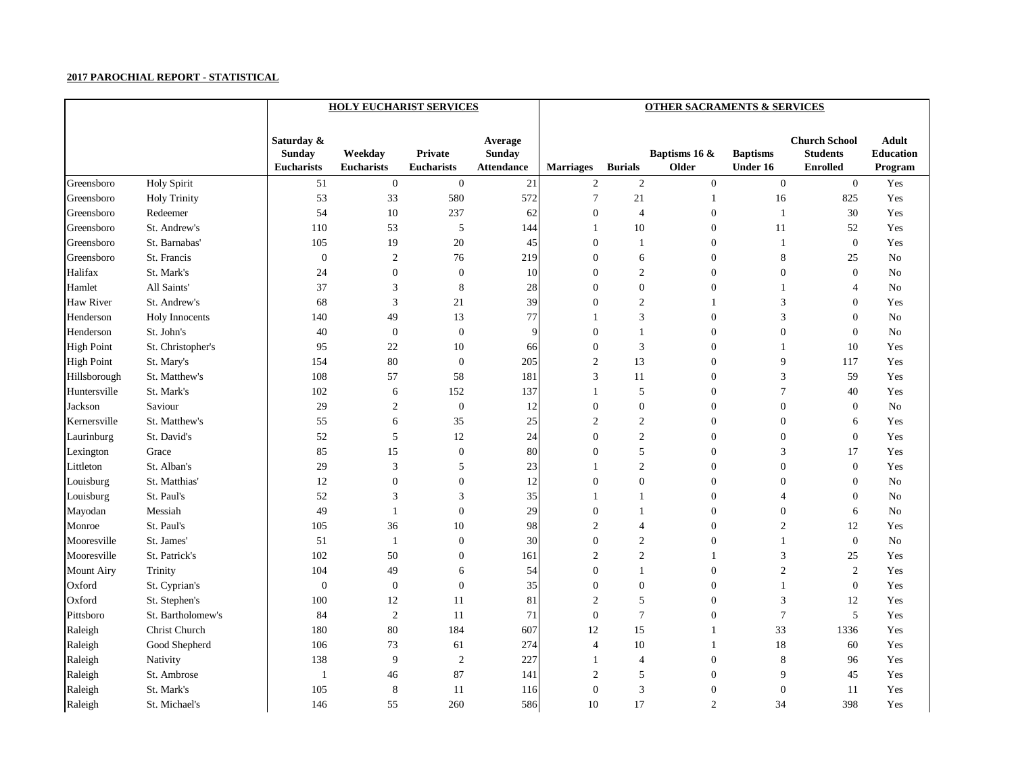|                   |                     |                                                  | <b>HOLY EUCHARIST SERVICES</b> |                                     | <b>OTHER SACRAMENTS &amp; SERVICES</b>        |                  |                  |                        |                                    |                                                            |                                             |  |
|-------------------|---------------------|--------------------------------------------------|--------------------------------|-------------------------------------|-----------------------------------------------|------------------|------------------|------------------------|------------------------------------|------------------------------------------------------------|---------------------------------------------|--|
|                   |                     | Saturday &<br><b>Sunday</b><br><b>Eucharists</b> | Weekday<br><b>Eucharists</b>   | <b>Private</b><br><b>Eucharists</b> | Average<br><b>Sunday</b><br><b>Attendance</b> | <b>Marriages</b> | <b>Burials</b>   | Baptisms 16 &<br>Older | <b>Baptisms</b><br><b>Under 16</b> | <b>Church School</b><br><b>Students</b><br><b>Enrolled</b> | <b>Adult</b><br><b>Education</b><br>Program |  |
| Greensboro        | <b>Holy Spirit</b>  | 51                                               | $\boldsymbol{0}$               | $\boldsymbol{0}$                    | 21                                            | 2                | $\overline{2}$   | $\overline{0}$         | $\boldsymbol{0}$                   | $\mathbf{0}$                                               | Yes                                         |  |
| Greensboro        | <b>Holy Trinity</b> | 53                                               | 33                             | 580                                 | 572                                           |                  | 21               |                        | 16                                 | 825                                                        | Yes                                         |  |
| Greensboro        | Redeemer            | 54                                               | 10                             | 237                                 | 62                                            | 0                | $\overline{4}$   | $\theta$               |                                    | 30                                                         | Yes                                         |  |
| Greensboro        | St. Andrew's        | 110                                              | 53                             | $\mathfrak{S}$                      | 144                                           |                  | 10               | $\boldsymbol{0}$       | 11                                 | 52                                                         | Yes                                         |  |
| Greensboro        | St. Barnabas'       | 105                                              | 19                             | $20\,$                              | 45                                            | $\Omega$         |                  | $\overline{0}$         |                                    | $\boldsymbol{0}$                                           | Yes                                         |  |
| Greensboro        | St. Francis         | $\boldsymbol{0}$                                 | 2                              | 76                                  | 219                                           | $\theta$         | 6                | $\overline{0}$         | 8                                  | 25                                                         | No                                          |  |
| Halifax           | St. Mark's          | 24                                               | $\boldsymbol{0}$               | $\boldsymbol{0}$                    | 10                                            | $\overline{0}$   | $\overline{c}$   | $\boldsymbol{0}$       | $\boldsymbol{0}$                   | $\boldsymbol{0}$                                           | No                                          |  |
| Hamlet            | All Saints'         | 37                                               | 3                              | 8                                   | 28                                            | $\Omega$         | $\boldsymbol{0}$ | $\boldsymbol{0}$       |                                    | $\overline{A}$                                             | No                                          |  |
| <b>Haw River</b>  | St. Andrew's        | 68                                               | 3                              | 21                                  | 39                                            | $\Omega$         | $\overline{c}$   |                        | 3                                  | $\mathbf{0}$                                               | Yes                                         |  |
| Henderson         | Holy Innocents      | 140                                              | 49                             | 13                                  | 77                                            |                  | 3                | 0                      | 3                                  | $\boldsymbol{0}$                                           | No                                          |  |
| Henderson         | St. John's          | 40                                               | $\boldsymbol{0}$               | $\boldsymbol{0}$                    | 9                                             | $\Omega$         |                  | $\boldsymbol{0}$       | $\boldsymbol{0}$                   | $\boldsymbol{0}$                                           | No                                          |  |
| <b>High Point</b> | St. Christopher's   | 95                                               | 22                             | 10                                  | 66                                            | $\theta$         | 3                | $\boldsymbol{0}$       |                                    | 10                                                         | Yes                                         |  |
| <b>High Point</b> | St. Mary's          | 154                                              | 80                             | $\boldsymbol{0}$                    | 205                                           | $\overline{2}$   | 13               | $\boldsymbol{0}$       | 9                                  | 117                                                        | Yes                                         |  |
| Hillsborough      | St. Matthew's       | 108                                              | 57                             | 58                                  | 181                                           | 3                | 11               | $\overline{0}$         | 3                                  | 59                                                         | Yes                                         |  |
| Huntersville      | St. Mark's          | 102                                              | 6                              | 152                                 | 137                                           |                  | 5                | $\boldsymbol{0}$       | 7                                  | 40                                                         | Yes                                         |  |
| Jackson           | Saviour             | 29                                               | $\overline{2}$                 | $\boldsymbol{0}$                    | 12                                            | $\theta$         | $\boldsymbol{0}$ | $\overline{0}$         | $\boldsymbol{0}$                   | $\boldsymbol{0}$                                           | No                                          |  |
| Kernersville      | St. Matthew's       | 55                                               | 6                              | 35                                  | 25                                            | $\overline{2}$   | $\overline{c}$   | $\boldsymbol{0}$       | $\boldsymbol{0}$                   | 6                                                          | Yes                                         |  |
| Laurinburg        | St. David's         | 52                                               | 5                              | 12                                  | 24                                            | $\theta$         | $\overline{c}$   | $\boldsymbol{0}$       | $\boldsymbol{0}$                   | $\boldsymbol{0}$                                           | Yes                                         |  |
| Lexington         | Grace               | 85                                               | 15                             | $\boldsymbol{0}$                    | 80                                            | 0                | 5                | $\overline{0}$         | 3                                  | 17                                                         | Yes                                         |  |
| Littleton         | St. Alban's         | 29                                               | 3                              | 5                                   | 23                                            |                  | $\overline{c}$   | $\mathbf{0}$           | $\boldsymbol{0}$                   | $\mathbf{0}$                                               | Yes                                         |  |
| Louisburg         | St. Matthias'       | 12                                               | $\theta$                       | $\boldsymbol{0}$                    | 12                                            |                  | $\boldsymbol{0}$ | $\boldsymbol{0}$       | 0                                  | $\boldsymbol{0}$                                           | No                                          |  |
| Louisburg         | St. Paul's          | 52                                               | 3                              | 3                                   | 35                                            |                  |                  | $\boldsymbol{0}$       | 4                                  | $\mathbf{0}$                                               | No                                          |  |
| Mayodan           | Messiah             | 49                                               |                                | $\boldsymbol{0}$                    | 29                                            |                  |                  | 0                      | $\boldsymbol{0}$                   | 6                                                          | No                                          |  |
| Monroe            | St. Paul's          | 105                                              | 36                             | 10                                  | 98                                            | $\overline{2}$   | 4                | 0                      | 2                                  | 12                                                         | Yes                                         |  |
| Mooresville       | St. James'          | 51                                               |                                | $\boldsymbol{0}$                    | 30                                            | $\overline{0}$   | $\overline{c}$   | 0                      |                                    | $\boldsymbol{0}$                                           | No                                          |  |
| Mooresville       | St. Patrick's       | 102                                              | 50                             | $\boldsymbol{0}$                    | 161                                           | $\overline{2}$   | $\overline{c}$   |                        | 3                                  | 25                                                         | Yes                                         |  |
| Mount Airy        | Trinity             | 104                                              | 49                             | 6                                   | 54                                            |                  |                  | $\Omega$               |                                    | 2                                                          | Yes                                         |  |
| Oxford            | St. Cyprian's       | $\boldsymbol{0}$                                 | $\boldsymbol{0}$               | $\boldsymbol{0}$                    | 35                                            | $\boldsymbol{0}$ | $\boldsymbol{0}$ | $\overline{0}$         |                                    | $\boldsymbol{0}$                                           | Yes                                         |  |
| Oxford            | St. Stephen's       | $100\,$                                          | 12                             | 11                                  | 81                                            | 2                | $\sqrt{5}$       | $\boldsymbol{0}$       | $\mathfrak{Z}$                     | 12                                                         | Yes                                         |  |
| Pittsboro         | St. Bartholomew's   | 84                                               | $\mathfrak{2}$                 | 11                                  | 71                                            | $\overline{0}$   | $\tau$           | $\overline{0}$         | 7                                  | 5                                                          | Yes                                         |  |
| Raleigh           | Christ Church       | 180                                              | $80\,$                         | 184                                 | 607                                           | 12               | 15               |                        | 33                                 | 1336                                                       | Yes                                         |  |
| Raleigh           | Good Shepherd       | 106                                              | 73                             | 61                                  | 274                                           | $\overline{4}$   | 10               |                        | 18                                 | 60                                                         | Yes                                         |  |
| Raleigh           | Nativity            | 138                                              | 9                              | $\sqrt{2}$                          | 227                                           |                  | $\overline{4}$   | $\overline{0}$         | $8\,$                              | 96                                                         | Yes                                         |  |
| Raleigh           | St. Ambrose         | $\mathbf{1}$                                     | 46                             | 87                                  | 141                                           | $\overline{2}$   | $\sqrt{5}$       | $\boldsymbol{0}$       | 9                                  | 45                                                         | Yes                                         |  |
| Raleigh           | St. Mark's          | 105                                              | $8\phantom{1}$                 | 11                                  | 116                                           | $\boldsymbol{0}$ | $\mathfrak{Z}$   | $\boldsymbol{0}$       | $\boldsymbol{0}$                   | 11                                                         | Yes                                         |  |
| Raleigh           | St. Michael's       | 146                                              | 55                             | 260                                 | 586                                           | 10               | 17               | $\overline{c}$         | 34                                 | 398                                                        | Yes                                         |  |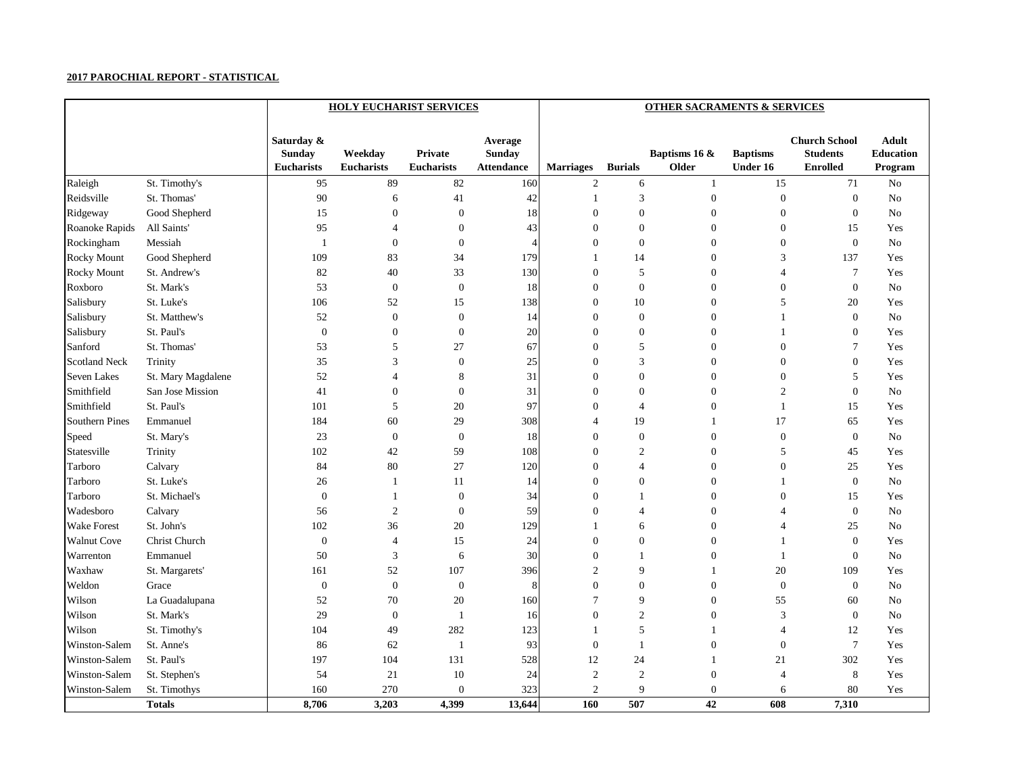|                       |                    |                                           | <b>HOLY EUCHARIST SERVICES</b> |                                     |                                               | <b>OTHER SACRAMENTS &amp; SERVICES</b> |                  |                        |                                    |                                                            |                                             |  |  |
|-----------------------|--------------------|-------------------------------------------|--------------------------------|-------------------------------------|-----------------------------------------------|----------------------------------------|------------------|------------------------|------------------------------------|------------------------------------------------------------|---------------------------------------------|--|--|
|                       |                    | Saturday &<br><b>Sunday</b><br>Eucharists | Weekday<br><b>Eucharists</b>   | <b>Private</b><br><b>Eucharists</b> | Average<br><b>Sunday</b><br><b>Attendance</b> | <b>Marriages</b>                       | <b>Burials</b>   | Baptisms 16 &<br>Older | <b>Baptisms</b><br><b>Under 16</b> | <b>Church School</b><br><b>Students</b><br><b>Enrolled</b> | <b>Adult</b><br><b>Education</b><br>Program |  |  |
| Raleigh               | St. Timothy's      | 95                                        | 89                             | 82                                  | 160                                           | $\overline{2}$                         | 6                |                        | 15                                 | 71                                                         | <b>No</b>                                   |  |  |
| Reidsville            | St. Thomas'        | 90                                        | 6                              | 41                                  | 42                                            |                                        | 3                | $\boldsymbol{0}$       | $\boldsymbol{0}$                   | $\boldsymbol{0}$                                           | No                                          |  |  |
| Ridgeway              | Good Shepherd      | 15                                        | $\Omega$                       | $\boldsymbol{0}$                    | 18                                            | $\Omega$                               | $\overline{0}$   | 0                      | 0                                  | $\boldsymbol{0}$                                           | $\rm No$                                    |  |  |
| Roanoke Rapids        | All Saints'        | 95                                        |                                | $\mathbf{0}$                        | 43                                            |                                        | $\mathbf{0}$     | 0                      | 0                                  | 15                                                         | Yes                                         |  |  |
| Rockingham            | Messiah            | - 1                                       | $\theta$                       | $\boldsymbol{0}$                    | $\overline{4}$                                | $\Omega$                               | $\mathbf{0}$     | 0                      | 0                                  | $\boldsymbol{0}$                                           | N <sub>o</sub>                              |  |  |
| <b>Rocky Mount</b>    | Good Shepherd      | 109                                       | 83                             | 34                                  | 179                                           |                                        | 14               | 0                      | 3                                  | 137                                                        | Yes                                         |  |  |
| <b>Rocky Mount</b>    | St. Andrew's       | 82                                        | 40                             | 33                                  | 130                                           | $\theta$                               | 5                | 0                      | 4                                  | 7                                                          | Yes                                         |  |  |
| Roxboro               | St. Mark's         | 53                                        | $\boldsymbol{0}$               | $\boldsymbol{0}$                    | 18                                            | $\Omega$                               | $\boldsymbol{0}$ | 0                      | 0                                  | $\boldsymbol{0}$                                           | N <sub>o</sub>                              |  |  |
| Salisbury             | St. Luke's         | 106                                       | 52                             | 15                                  | 138                                           | $\Omega$                               | 10               | 0                      | 5                                  | 20                                                         | Yes                                         |  |  |
| Salisbury             | St. Matthew's      | 52                                        | $\overline{0}$                 | $\boldsymbol{0}$                    | 14                                            | $\theta$                               | $\boldsymbol{0}$ | 0                      |                                    | $\boldsymbol{0}$                                           | No                                          |  |  |
| Salisbury             | St. Paul's         | $\boldsymbol{0}$                          | $\Omega$                       | $\boldsymbol{0}$                    | 20                                            | $\Omega$                               | $\mathbf{0}$     | $\boldsymbol{0}$       |                                    | $\boldsymbol{0}$                                           | Yes                                         |  |  |
| Sanford               | St. Thomas'        | 53                                        | 5                              | 27                                  | 67                                            | $\Omega$                               | 5                | 0                      | 0                                  | 7                                                          | Yes                                         |  |  |
| <b>Scotland Neck</b>  | Trinity            | 35                                        | 3                              | $\boldsymbol{0}$                    | 25                                            | $\Omega$                               | 3                | 0                      | 0                                  | $\boldsymbol{0}$                                           | Yes                                         |  |  |
| <b>Seven Lakes</b>    | St. Mary Magdalene | 52                                        |                                | 8                                   | 31                                            | $\Omega$                               | $\overline{0}$   | 0                      | 0                                  | 5                                                          | Yes                                         |  |  |
| Smithfield            | San Jose Mission   | 41                                        | $\Omega$                       | $\boldsymbol{0}$                    | 31                                            |                                        | $\boldsymbol{0}$ | 0                      | $\overline{c}$                     | $\boldsymbol{0}$                                           | N <sub>o</sub>                              |  |  |
| Smithfield            | St. Paul's         | 101                                       | 5                              | $20\,$                              | 97                                            | $\theta$                               | $\overline{4}$   | 0                      |                                    | 15                                                         | Yes                                         |  |  |
| <b>Southern Pines</b> | Emmanuel           | 184                                       | 60                             | 29                                  | 308                                           |                                        | 19               |                        | 17                                 | 65                                                         | Yes                                         |  |  |
| Speed                 | St. Mary's         | 23                                        | $\boldsymbol{0}$               | $\boldsymbol{0}$                    | 18                                            | $\Omega$                               | $\boldsymbol{0}$ | 0                      | $\overline{0}$                     | $\boldsymbol{0}$                                           | N <sub>o</sub>                              |  |  |
| Statesville           | Trinity            | 102                                       | 42                             | 59                                  | 108                                           | $\Omega$                               | $\mathbf{2}$     | 0                      | 5                                  | 45                                                         | Yes                                         |  |  |
| Tarboro               | Calvary            | 84                                        | 80                             | 27                                  | 120                                           | $\Omega$                               | 4                | 0                      | 0                                  | 25                                                         | Yes                                         |  |  |
| Tarboro               | St. Luke's         | 26                                        |                                | 11                                  | 14                                            | $\theta$                               | $\mathbf{0}$     | $\boldsymbol{0}$       |                                    | $\boldsymbol{0}$                                           | No                                          |  |  |
| Tarboro               | St. Michael's      | $\boldsymbol{0}$                          |                                | $\boldsymbol{0}$                    | 34                                            | $\Omega$                               |                  | 0                      | 0                                  | 15                                                         | Yes                                         |  |  |
| Wadesboro             | Calvary            | 56                                        | $\overline{2}$                 | $\boldsymbol{0}$                    | 59                                            |                                        |                  | $\overline{0}$         |                                    | $\boldsymbol{0}$                                           | <b>No</b>                                   |  |  |
| <b>Wake Forest</b>    | St. John's         | 102                                       | 36                             | $20\,$                              | 129                                           |                                        | 6                | 0                      |                                    | 25                                                         | N <sub>o</sub>                              |  |  |
| <b>Walnut Cove</b>    | Christ Church      | $\boldsymbol{0}$                          |                                | 15                                  | 24                                            | $\Omega$                               | $\overline{0}$   | $\Omega$               |                                    | $\boldsymbol{0}$                                           | Yes                                         |  |  |
| Warrenton             | Emmanuel           | 50                                        | 3                              | 6                                   | 30                                            | $\Omega$                               |                  | 0                      |                                    | $\overline{0}$                                             | N <sub>o</sub>                              |  |  |
| Waxhaw                | St. Margarets'     | 161                                       | 52                             | 107                                 | 396                                           |                                        | 9                |                        | 20                                 | 109                                                        | Yes                                         |  |  |
| Weldon                | Grace              | $\boldsymbol{0}$                          | $\boldsymbol{0}$               | $\boldsymbol{0}$                    | 8                                             | $\boldsymbol{0}$                       | $\boldsymbol{0}$ | 0                      | 0                                  | $\boldsymbol{0}$                                           | No                                          |  |  |
| Wilson                | La Guadalupana     | 52                                        | 70                             | $20\,$                              | 160                                           |                                        | 9                | 0                      | 55                                 | 60                                                         | $\rm No$                                    |  |  |
| Wilson                | St. Mark's         | 29                                        | $\boldsymbol{0}$               |                                     | 16                                            | $\theta$                               | $\overline{c}$   | $\boldsymbol{0}$       | $\mathfrak{Z}$                     | $\boldsymbol{0}$                                           | No                                          |  |  |
| Wilson                | St. Timothy's      | 104                                       | 49                             | 282                                 | 123                                           |                                        | 5                |                        | $\overline{4}$                     | 12                                                         | Yes                                         |  |  |
| Winston-Salem         | St. Anne's         | 86                                        | 62                             | $\overline{1}$                      | 93                                            | $\boldsymbol{0}$                       | -1               | 0                      | 0                                  | $\tau$                                                     | Yes                                         |  |  |
| Winston-Salem         | St. Paul's         | 197                                       | 104                            | 131                                 | 528                                           | 12                                     | 24               |                        | 21                                 | 302                                                        | Yes                                         |  |  |
| Winston-Salem         | St. Stephen's      | 54                                        | 21                             | $10\,$                              | 24                                            | $\mathfrak{2}$                         | $\mathfrak{2}$   | $\boldsymbol{0}$       | $\overline{4}$                     | $8\,$                                                      | Yes                                         |  |  |
| Winston-Salem         | St. Timothys       | 160                                       | 270                            | $\boldsymbol{0}$                    | 323                                           | $\overline{c}$                         | 9                | $\boldsymbol{0}$       | 6                                  | 80                                                         | Yes                                         |  |  |
|                       | <b>Totals</b>      | 8,706                                     | 3,203                          | 4,399                               | 13,644                                        | 160                                    | 507              | 42                     | 608                                | 7,310                                                      |                                             |  |  |